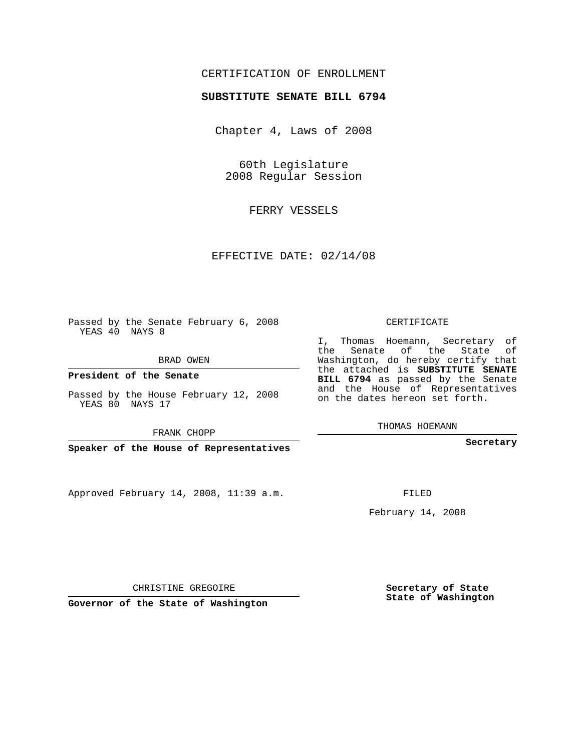## CERTIFICATION OF ENROLLMENT

### **SUBSTITUTE SENATE BILL 6794**

Chapter 4, Laws of 2008

60th Legislature 2008 Regular Session

FERRY VESSELS

EFFECTIVE DATE: 02/14/08

Passed by the Senate February 6, 2008 YEAS 40 NAYS 8

BRAD OWEN

**President of the Senate**

Passed by the House February 12, 2008 YEAS 80 NAYS 17

FRANK CHOPP

**Speaker of the House of Representatives**

Approved February 14, 2008, 11:39 a.m.

CERTIFICATE

I, Thomas Hoemann, Secretary of the Senate of the State of Washington, do hereby certify that the attached is **SUBSTITUTE SENATE BILL 6794** as passed by the Senate and the House of Representatives on the dates hereon set forth.

THOMAS HOEMANN

**Secretary**

FILED

February 14, 2008

**Secretary of State State of Washington**

CHRISTINE GREGOIRE

**Governor of the State of Washington**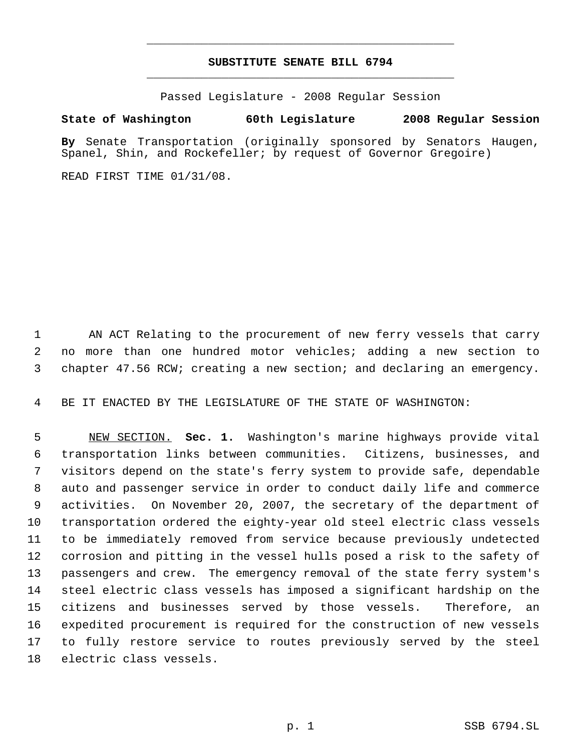# **SUBSTITUTE SENATE BILL 6794** \_\_\_\_\_\_\_\_\_\_\_\_\_\_\_\_\_\_\_\_\_\_\_\_\_\_\_\_\_\_\_\_\_\_\_\_\_\_\_\_\_\_\_\_\_

\_\_\_\_\_\_\_\_\_\_\_\_\_\_\_\_\_\_\_\_\_\_\_\_\_\_\_\_\_\_\_\_\_\_\_\_\_\_\_\_\_\_\_\_\_

Passed Legislature - 2008 Regular Session

### **State of Washington 60th Legislature 2008 Regular Session**

**By** Senate Transportation (originally sponsored by Senators Haugen, Spanel, Shin, and Rockefeller; by request of Governor Gregoire)

READ FIRST TIME 01/31/08.

1 AN ACT Relating to the procurement of new ferry vessels that carry no more than one hundred motor vehicles; adding a new section to chapter 47.56 RCW; creating a new section; and declaring an emergency.

BE IT ENACTED BY THE LEGISLATURE OF THE STATE OF WASHINGTON:

 NEW SECTION. **Sec. 1.** Washington's marine highways provide vital transportation links between communities. Citizens, businesses, and visitors depend on the state's ferry system to provide safe, dependable auto and passenger service in order to conduct daily life and commerce activities. On November 20, 2007, the secretary of the department of transportation ordered the eighty-year old steel electric class vessels to be immediately removed from service because previously undetected corrosion and pitting in the vessel hulls posed a risk to the safety of passengers and crew. The emergency removal of the state ferry system's steel electric class vessels has imposed a significant hardship on the citizens and businesses served by those vessels. Therefore, an expedited procurement is required for the construction of new vessels to fully restore service to routes previously served by the steel electric class vessels.